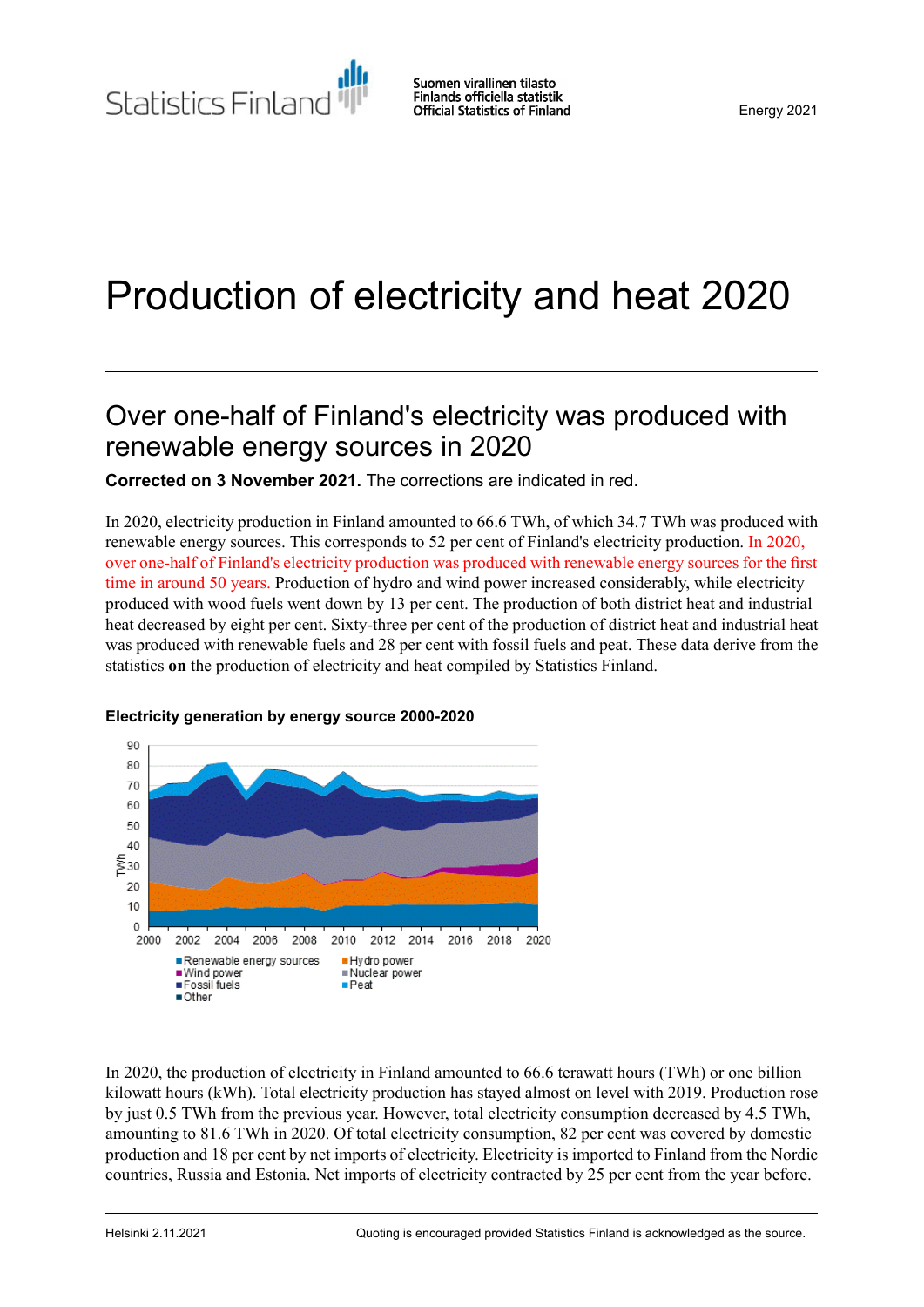# Production of electricity and heat 2020

### Over one-half of Finland's electricity was produced with renewable energy sources in 2020

**Corrected on 3 November 2021.** The corrections are indicated in red.

In 2020, electricity production in Finland amounted to 66.6 TWh, of which 34.7 TWh was produced with renewable energy sources. This corresponds to 52 per cent of Finland's electricity production. In 2020, over one-half of Finland's electricity production was produced with renewable energy sources for the first time in around 50 years. Production of hydro and wind power increased considerably, while electricity produced with wood fuels went down by 13 per cent. The production of both district heat and industrial heat decreased by eight per cent. Sixty-three per cent of the production of district heat and industrial heat was produced with renewable fuels and 28 per cent with fossil fuels and peat. These data derive from the statistics **on** the production of electricity and heat compiled by Statistics Finland.



### **Electricity generation by energy source 2000-2020**

In 2020, the production of electricity in Finland amounted to 66.6 terawatt hours (TWh) or one billion kilowatt hours (kWh). Total electricity production has stayed almost on level with 2019. Production rose by just 0.5 TWh from the previous year. However, total electricity consumption decreased by 4.5 TWh, amounting to 81.6 TWh in 2020. Of total electricity consumption, 82 per cent was covered by domestic production and 18 per cent by net imports of electricity. Electricity is imported to Finland from the Nordic countries, Russia and Estonia. Net imports of electricity contracted by 25 per cent from the year before.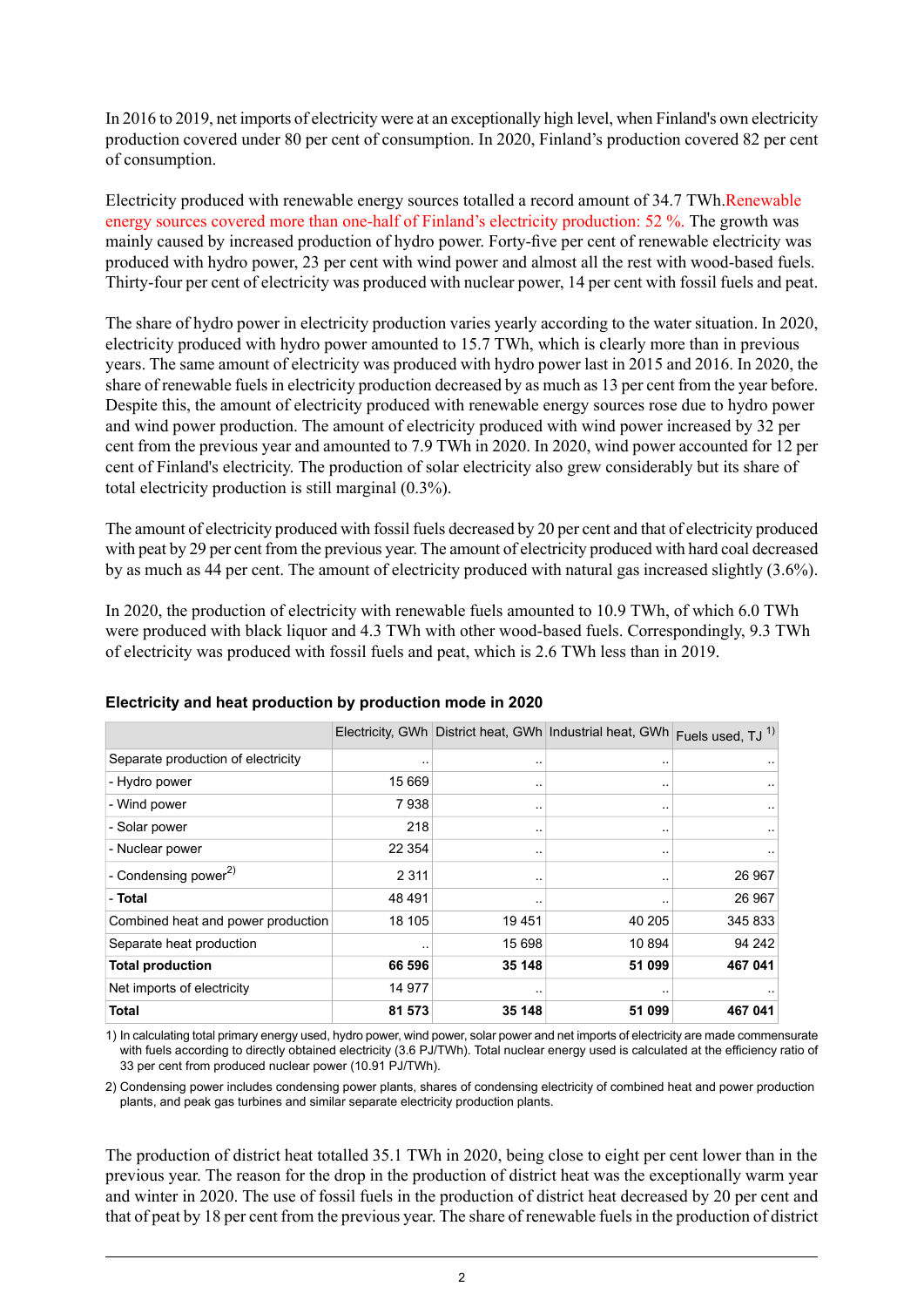In 2016 to 2019, net imports of electricity were at an exceptionally high level, when Finland's own electricity production covered under 80 per cent of consumption. In 2020, Finland's production covered 82 per cent of consumption.

Electricity produced with renewable energy sources totalled a record amount of 34.7 TWh.Renewable energy sources covered more than one-half of Finland's electricity production: 52 %. The growth was mainly caused by increased production of hydro power. Forty-five per cent of renewable electricity was produced with hydro power, 23 per cent with wind power and almost all the rest with wood-based fuels. Thirty-four per cent of electricity was produced with nuclear power, 14 per cent with fossil fuels and peat.

The share of hydro power in electricity production varies yearly according to the water situation. In 2020, electricity produced with hydro power amounted to 15.7 TWh, which is clearly more than in previous years. The same amount of electricity was produced with hydro power last in 2015 and 2016. In 2020, the share of renewable fuels in electricity production decreased by as much as 13 per cent from the year before. Despite this, the amount of electricity produced with renewable energy sources rose due to hydro power and wind power production. The amount of electricity produced with wind power increased by 32 per cent from the previous year and amounted to 7.9 TWh in 2020. In 2020, wind power accounted for 12 per cent of Finland's electricity. The production of solar electricity also grew considerably but its share of total electricity production is still marginal (0.3%).

The amount of electricity produced with fossil fuels decreased by 20 per cent and that of electricity produced with peat by 29 per cent from the previous year. The amount of electricity produced with hard coal decreased by as much as 44 per cent. The amount of electricity produced with natural gas increased slightly (3.6%).

In 2020, the production of electricity with renewable fuels amounted to 10.9 TWh, of which 6.0 TWh were produced with black liquor and 4.3 TWh with other wood-based fuels. Correspondingly, 9.3 TWh of electricity was produced with fossil fuels and peat, which is 2.6 TWh less than in 2019.

|                                    |         |        | Electricity, GWh District heat, GWh Industrial heat, GWh | Fuels used, TJ <sup>1)</sup> |
|------------------------------------|---------|--------|----------------------------------------------------------|------------------------------|
| Separate production of electricity |         |        |                                                          |                              |
| - Hydro power                      | 15 669  |        |                                                          |                              |
| - Wind power                       | 7938    |        |                                                          |                              |
| - Solar power                      | 218     |        |                                                          |                              |
| - Nuclear power                    | 22 3 54 |        |                                                          |                              |
| - Condensing power <sup>2)</sup>   | 2 3 1 1 |        | $\cdot$ .                                                | 26 967                       |
| - Total                            | 48 491  |        |                                                          | 26 967                       |
| Combined heat and power production | 18 105  | 19451  | 40 205                                                   | 345 833                      |
| Separate heat production           |         | 15 698 | 10 894                                                   | 94 242                       |
| <b>Total production</b>            | 66 596  | 35 148 | 51 099                                                   | 467 041                      |
| Net imports of electricity         | 14 977  |        |                                                          |                              |
| Total                              | 81 573  | 35 148 | 51 099                                                   | 467 041                      |

### **Electricity and heat production by production mode in 2020**

1) In calculating total primary energy used, hydro power, wind power, solar power and net imports of electricity are made commensurate with fuels according to directly obtained electricity (3.6 PJ/TWh). Total nuclear energy used is calculated at the efficiency ratio of 33 per cent from produced nuclear power (10.91 PJ/TWh).

2) Condensing power includes condensing power plants, shares of condensing electricity of combined heat and power production plants, and peak gas turbines and similar separate electricity production plants.

The production of district heat totalled 35.1 TWh in 2020, being close to eight per cent lower than in the previous year. The reason for the drop in the production of district heat was the exceptionally warm year and winter in 2020. The use of fossil fuels in the production of district heat decreased by 20 per cent and that of peat by 18 per cent from the previous year. The share of renewable fuelsin the production of district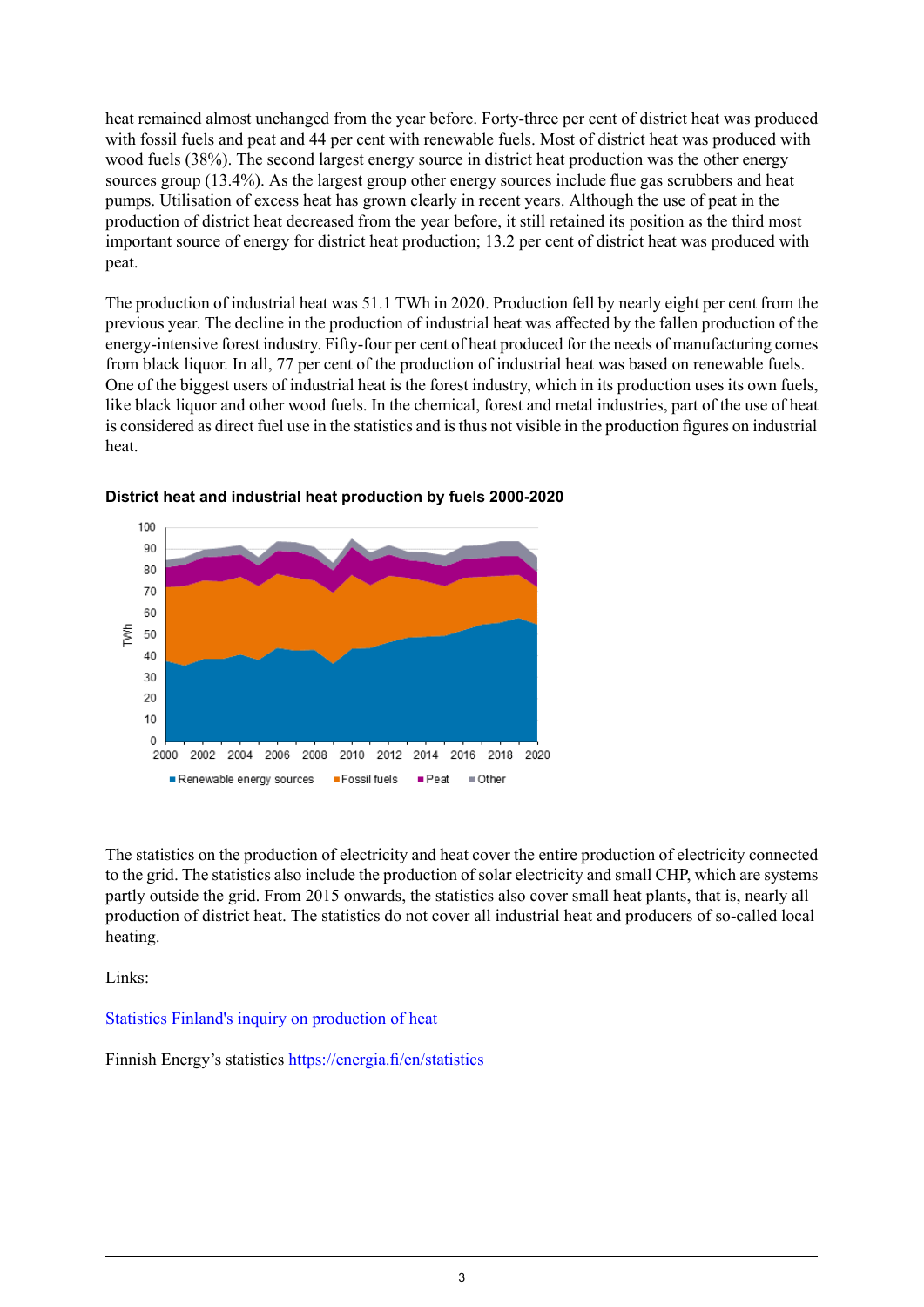heat remained almost unchanged from the year before. Forty-three per cent of district heat was produced with fossil fuels and peat and 44 per cent with renewable fuels. Most of district heat was produced with wood fuels (38%). The second largest energy source in district heat production was the other energy sources group (13.4%). As the largest group other energy sources include flue gas scrubbers and heat pumps. Utilisation of excess heat has grown clearly in recent years. Although the use of peat in the production of district heat decreased from the year before, it still retained its position as the third most important source of energy for district heat production; 13.2 per cent of district heat was produced with peat.

The production of industrial heat was 51.1 TWh in 2020. Production fell by nearly eight per cent from the previous year. The decline in the production of industrial heat was affected by the fallen production of the energy-intensive forest industry. Fifty-four per cent of heat produced for the needs of manufacturing comes from black liquor. In all, 77 per cent of the production of industrial heat was based on renewable fuels. One of the biggest users of industrial heat is the forest industry, which in its production uses its own fuels, like black liquor and other wood fuels. In the chemical, forest and metal industries, part of the use of heat is considered as direct fuel use in the statistics and is thus not visible in the production figures on industrial heat.



**District heat and industrial heat production by fuels 2000-2020**

The statistics on the production of electricity and heat cover the entire production of electricity connected to the grid. The statistics also include the production of solar electricity and small CHP, which are systems partly outside the grid. From 2015 onwards, the statistics also cover small heat plants, that is, nearly all production of district heat. The statistics do not cover all industrial heat and producers of so-called local heating.

Links:

Statistics Finland's inquiry on [production](http://www.stat.fi/keruu/ene/) of heat

Finnish Energy's statistics <https://energia.fi/en/statistics>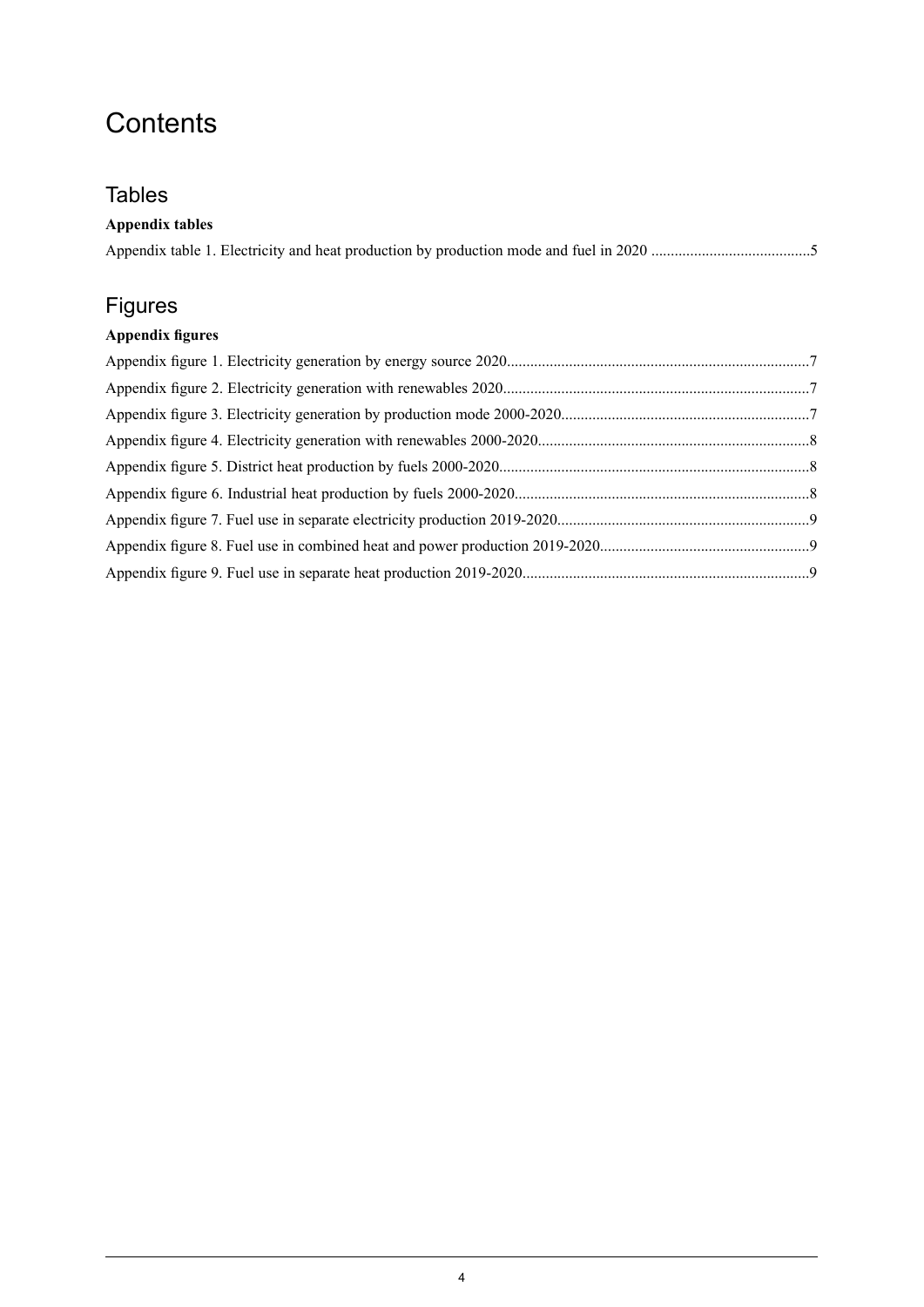# **Contents**

### **Tables**

| <b>Appendix tables</b> |  |
|------------------------|--|
|                        |  |

### Figures

### **Appendix figures**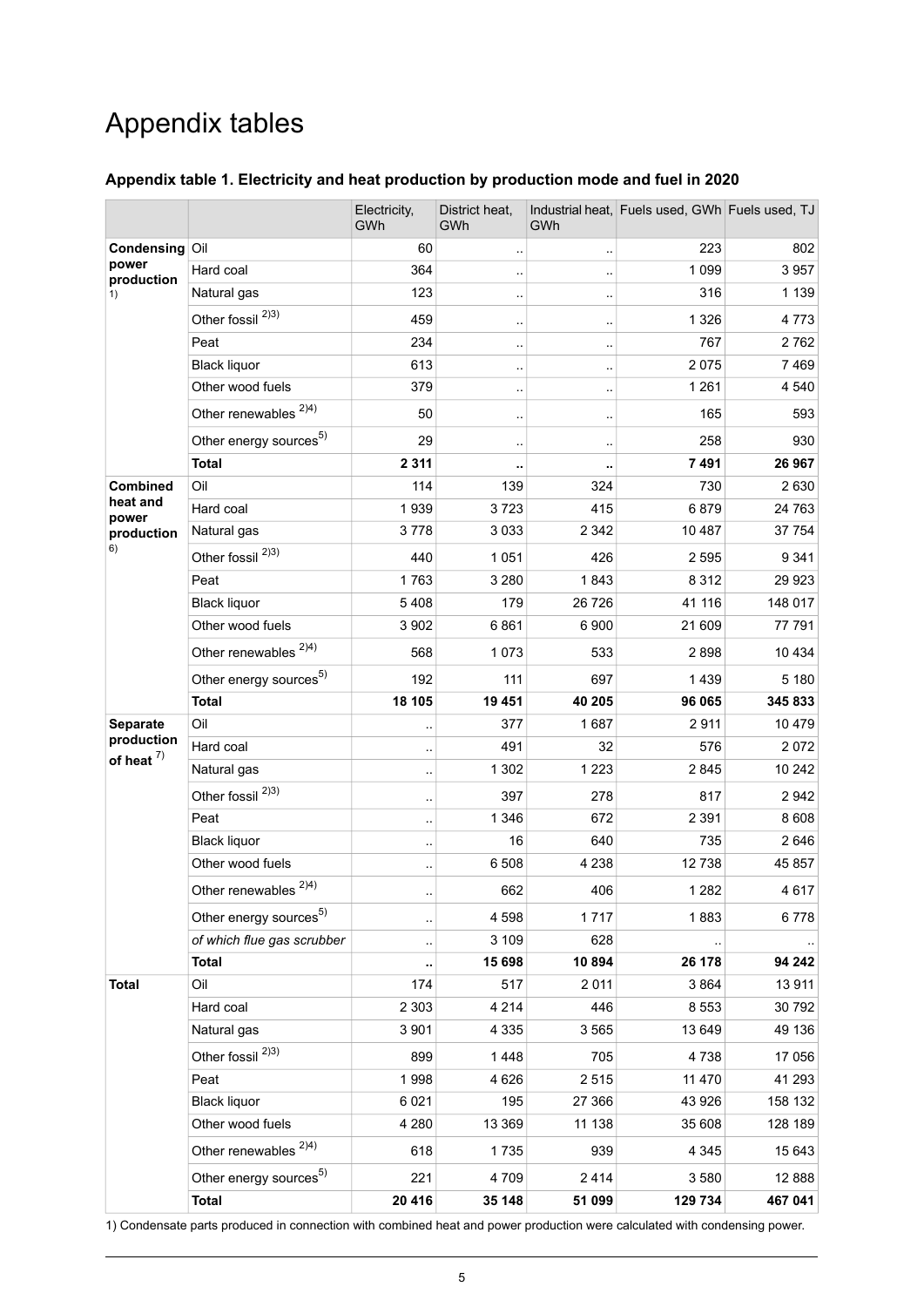# Appendix tables

### <span id="page-4-0"></span>**Appendix table 1. Electricity and heat production by production mode and fuel in 2020**

|                               |                                    | Electricity,<br>GWh  | District heat,<br>GWh | GWh       | Industrial heat, Fuels used, GWh Fuels used, TJ |         |
|-------------------------------|------------------------------------|----------------------|-----------------------|-----------|-------------------------------------------------|---------|
| Condensing Oil                |                                    | 60                   |                       |           | 223                                             | 802     |
| power<br>production           | Hard coal                          | 364                  |                       |           | 1 0 9 9                                         | 3957    |
| 1)                            | Natural gas                        | 123                  |                       |           | 316                                             | 1 1 3 9 |
|                               | Other fossil <sup>2)3)</sup>       | 459                  | ٠.                    | $\ddotsc$ | 1 3 2 6                                         | 4773    |
|                               | Peat                               | 234                  |                       | $\ddotsc$ | 767                                             | 2762    |
|                               | <b>Black liquor</b>                | 613                  | $\ddotsc$             | $\cdot$ . | 2075                                            | 7469    |
|                               | Other wood fuels                   | 379                  |                       | $\cdot$ . | 1 2 6 1                                         | 4 5 4 0 |
|                               | Other renewables <sup>2)4)</sup>   | 50                   |                       |           | 165                                             | 593     |
|                               | Other energy sources <sup>5)</sup> | 29                   | $\ddotsc$             | $\ddotsc$ | 258                                             | 930     |
|                               | <b>Total</b>                       | 2 3 1 1              | ٠.                    |           | 7491                                            | 26 967  |
| Combined                      | Oil                                | 114                  | 139                   | 324       | 730                                             | 2630    |
| heat and<br>power             | Hard coal                          | 1939                 | 3723                  | 415       | 6879                                            | 24 763  |
| production                    | Natural gas                        | 3778                 | 3 0 3 3               | 2 3 4 2   | 10 487                                          | 37 754  |
| 6)                            | Other fossil <sup>2)3)</sup>       | 440                  | 1 0 5 1               | 426       | 2595                                            | 9 3 4 1 |
|                               | Peat                               | 1763                 | 3 2 8 0               | 1843      | 8 3 1 2                                         | 29 9 23 |
|                               | <b>Black liquor</b>                | 5408                 | 179                   | 26 7 26   | 41 116                                          | 148 017 |
|                               | Other wood fuels                   | 3 9 0 2              | 6861                  | 6900      | 21 609                                          | 77 791  |
|                               | Other renewables <sup>2)4)</sup>   | 568                  | 1073                  | 533       | 2898                                            | 10 4 34 |
|                               | Other energy sources <sup>5)</sup> | 192                  | 111                   | 697       | 1439                                            | 5 1 8 0 |
|                               | <b>Total</b>                       | 18 105               | 19 451                | 40 205    | 96 065                                          | 345 833 |
| Separate                      | Oil                                |                      | 377                   | 1687      | 2911                                            | 10 479  |
| production<br>of heat $^{7)}$ | Hard coal                          | $\ddotsc$            | 491                   | 32        | 576                                             | 2072    |
|                               | Natural gas                        | $\ddot{\phantom{a}}$ | 1 3 0 2               | 1 2 2 3   | 2845                                            | 10 24 2 |
|                               | Other fossil <sup>2)3)</sup>       |                      | 397                   | 278       | 817                                             | 2942    |
|                               | Peat                               | $\ddot{\phantom{a}}$ | 1 3 4 6               | 672       | 2 3 9 1                                         | 8608    |
|                               | <b>Black liquor</b>                | $\ddotsc$            | 16                    | 640       | 735                                             | 2 646   |
|                               | Other wood fuels                   |                      | 6508                  | 4 2 3 8   | 12738                                           | 45 857  |
|                               | Other renewables <sup>2)4)</sup>   |                      | 662                   | 406       | 1 2 8 2                                         | 4617    |
|                               | Other energy sources <sup>5)</sup> |                      | 4598                  | 1717      | 1883                                            | 6778    |
|                               | of which flue gas scrubber         |                      | 3 1 0 9               | 628       |                                                 |         |
|                               | <b>Total</b>                       |                      | 15 698                | 10894     | 26 178                                          | 94 242  |
| <b>Total</b>                  | Oil                                | 174                  | 517                   | 2 0 1 1   | 3864                                            | 13 911  |
|                               | Hard coal                          | 2 3 0 3              | 4 2 1 4               | 446       | 8 5 5 3                                         | 30 792  |
|                               | Natural gas                        | 3 9 0 1              | 4 3 3 5               | 3565      | 13 649                                          | 49 136  |
|                               | Other fossil <sup>2)3)</sup>       | 899                  | 1448                  | 705       | 4738                                            | 17 056  |
|                               | Peat                               | 1998                 | 4 6 2 6               | 2515      | 11 470                                          | 41 293  |
|                               | <b>Black liquor</b>                | 6 0 21               | 195                   | 27 366    | 43 926                                          | 158 132 |
|                               | Other wood fuels                   | 4 2 8 0              | 13 3 69               | 11 138    | 35 608                                          | 128 189 |
|                               | Other renewables <sup>2)4)</sup>   | 618                  | 1735                  | 939       | 4 3 4 5                                         | 15 643  |
|                               | Other energy sources <sup>5)</sup> | 221                  | 4709                  | 2414      | 3580                                            | 12888   |
|                               | <b>Total</b>                       | 20 416               | 35 148                | 51 099    | 129 734                                         | 467 041 |

1) Condensate parts produced in connection with combined heat and power production were calculated with condensing power.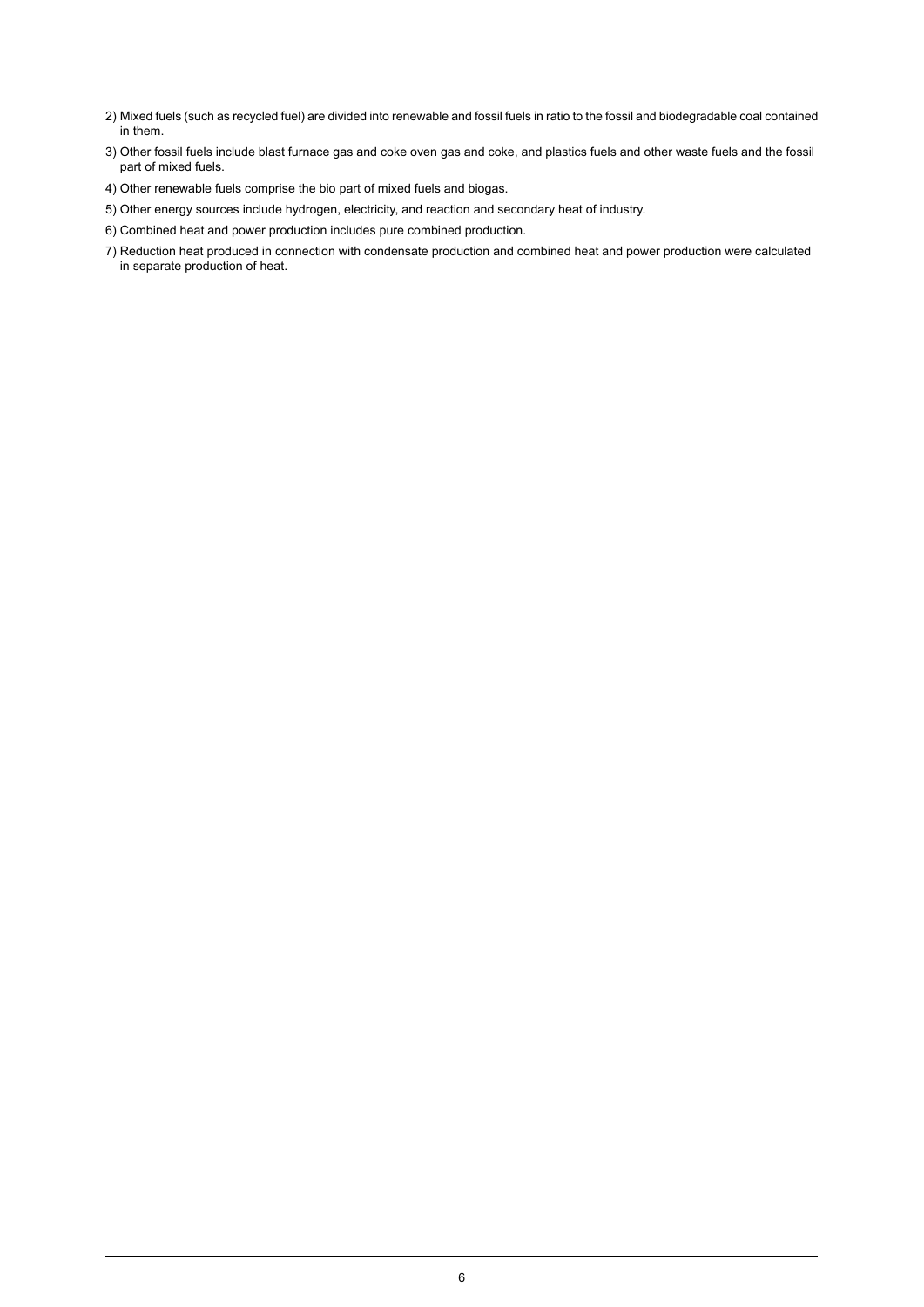- Mixed fuels (such as recycled fuel) are divided into renewable and fossil fuels in ratio to the fossil and biodegradable coal contained 2) in them.
- Other fossil fuels include blast furnace gas and coke oven gas and coke, and plastics fuels and other waste fuels and the fossil 3) part of mixed fuels.
- 4) Other renewable fuels comprise the bio part of mixed fuels and biogas.
- 5) Other energy sources include hydrogen, electricity, and reaction and secondary heat of industry.
- 6) Combined heat and power production includes pure combined production.
- 7) Reduction heat produced in connection with condensate production and combined heat and power production were calculated in separate production of heat.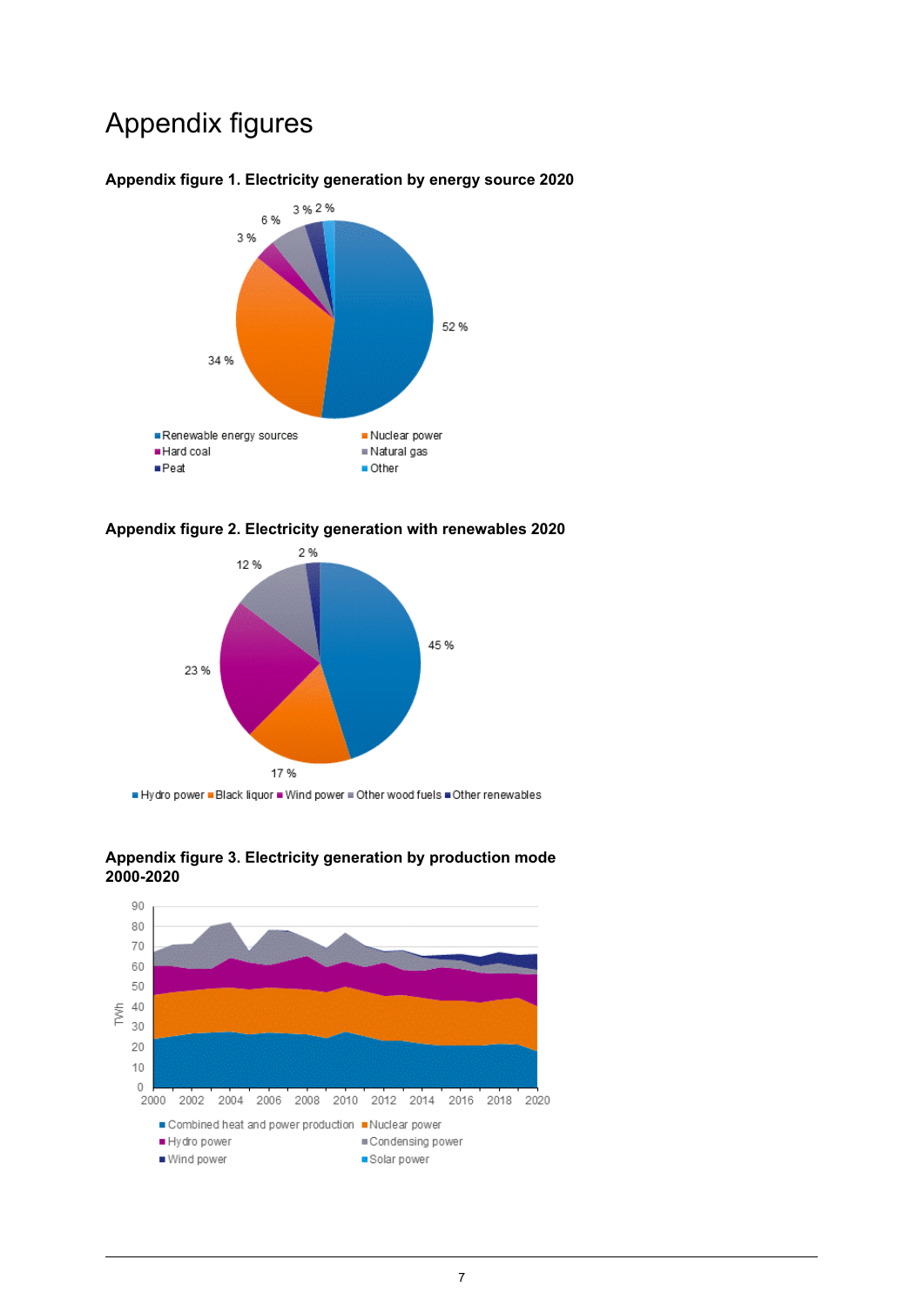## Appendix figures



#### <span id="page-6-0"></span>**Appendix figure 1. Electricity generation by energy source 2020**

<span id="page-6-1"></span>



<span id="page-6-2"></span>Hydro power . Black liquor . Wind power . Other wood fuels . Other renewables



**Appendix figure 3. Electricity generation by production mode 2000-2020**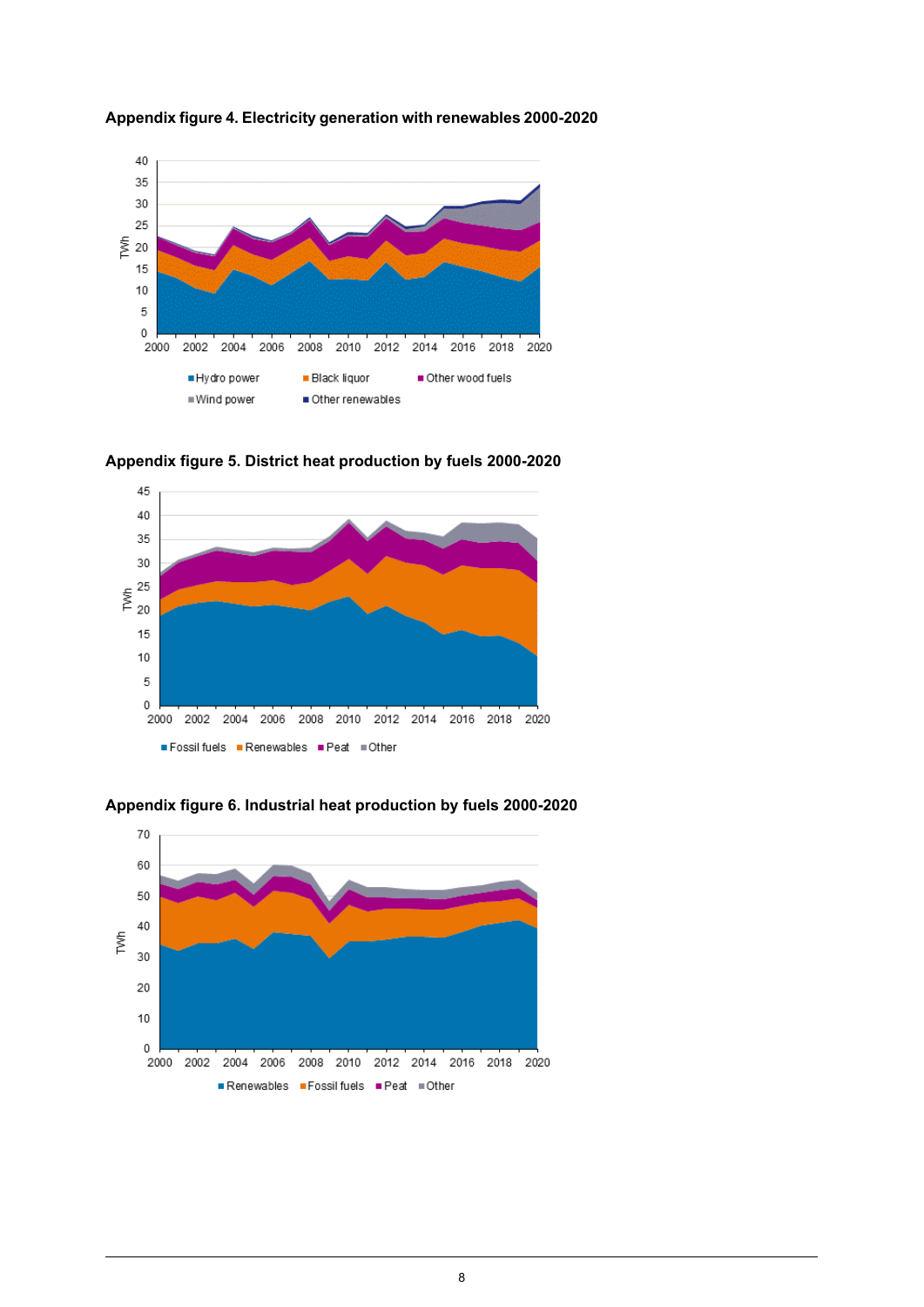

<span id="page-7-0"></span>

<span id="page-7-1"></span>





20  $10$ 

<span id="page-7-2"></span>**Appendix figure 6. Industrial heat production by fuels 2000-2020**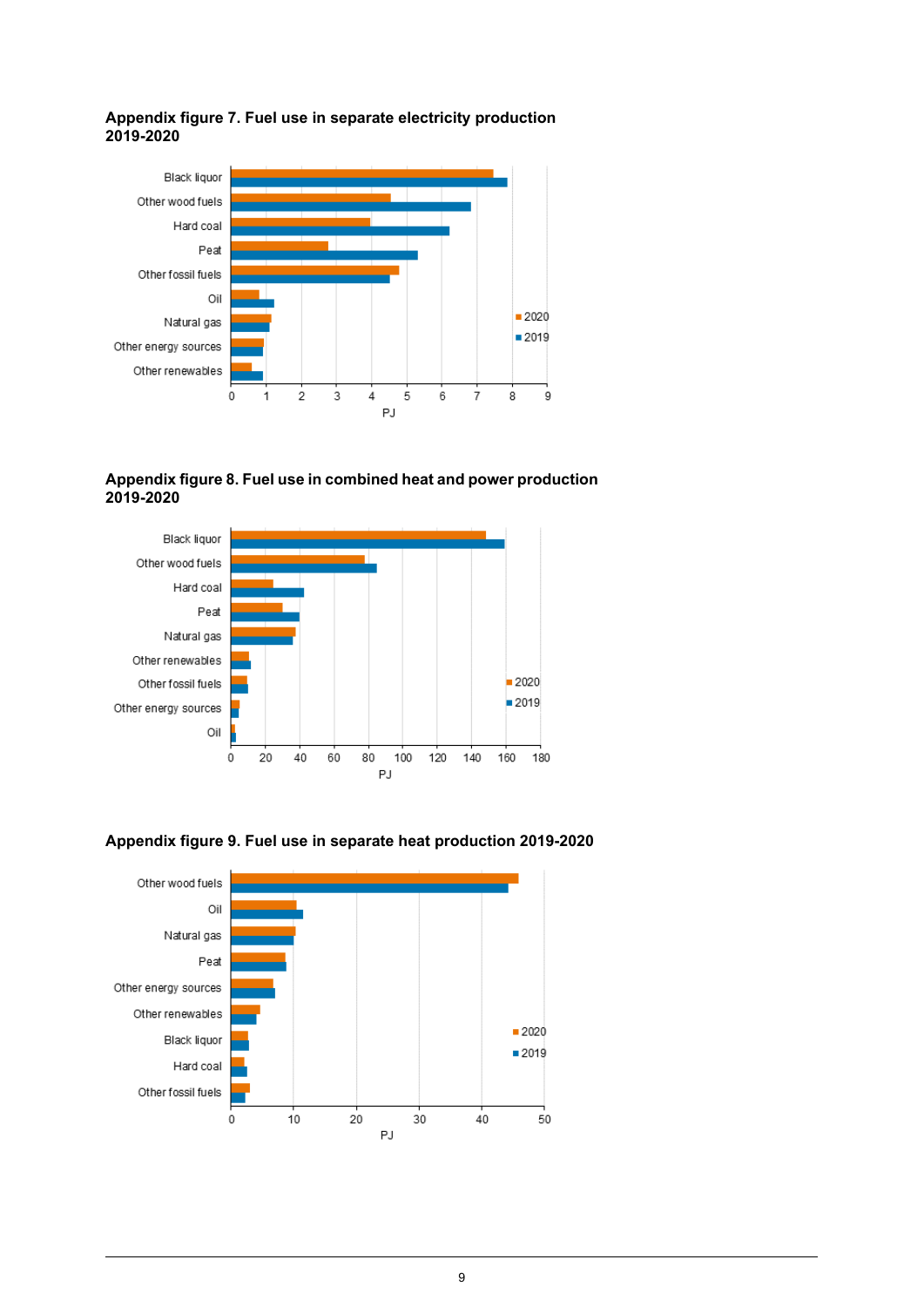#### <span id="page-8-0"></span>**Appendix figure 7. Fuel use in separate electricity production 2019-2020**



#### <span id="page-8-1"></span>**Appendix figure 8. Fuel use in combined heat and power production 2019-2020**





<span id="page-8-2"></span>**Appendix figure 9. Fuel use in separate heat production 2019-2020**